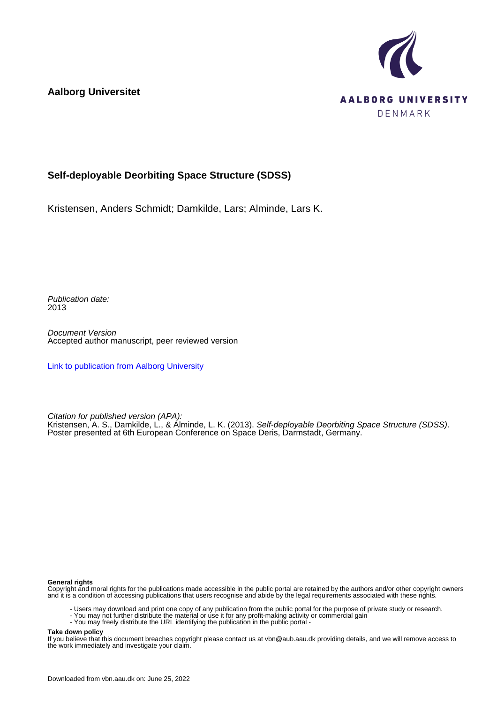**Aalborg Universitet**



# **Self-deployable Deorbiting Space Structure (SDSS)**

Kristensen, Anders Schmidt; Damkilde, Lars; Alminde, Lars K.

Publication date: 2013

Document Version Accepted author manuscript, peer reviewed version

[Link to publication from Aalborg University](https://vbn.aau.dk/en/publications/88fe9102-f915-48e8-8f95-ce0b3a21d6f2)

Citation for published version (APA):

Kristensen, A. S., Damkilde, L., & Alminde, L. K. (2013). Self-deployable Deorbiting Space Structure (SDSS). Poster presented at 6th European Conference on Space Deris, Darmstadt, Germany.

## **General rights**

Copyright and moral rights for the publications made accessible in the public portal are retained by the authors and/or other copyright owners and it is a condition of accessing publications that users recognise and abide by the legal requirements associated with these rights.

- Users may download and print one copy of any publication from the public portal for the purpose of private study or research.
- You may not further distribute the material or use it for any profit-making activity or commercial gain
- You may freely distribute the URL identifying the publication in the public portal -

## **Take down policy**

If you believe that this document breaches copyright please contact us at vbn@aub.aau.dk providing details, and we will remove access to the work immediately and investigate your claim.